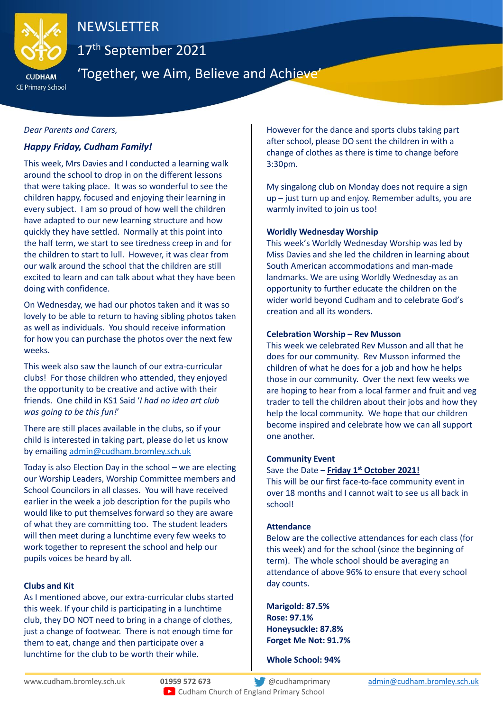

# **NEWSLETTER**

17th September 2021

**CE Primary School** 

'Together, we Aim, Believe and Achieve'

## *Dear Parents and Carers,*

# *Happy Friday, Cudham Family!*

This week, Mrs Davies and I conducted a learning walk around the school to drop in on the different lessons that were taking place. It was so wonderful to see the children happy, focused and enjoying their learning in every subject. I am so proud of how well the children have adapted to our new learning structure and how quickly they have settled. Normally at this point into the half term, we start to see tiredness creep in and for the children to start to lull. However, it was clear from our walk around the school that the children are still excited to learn and can talk about what they have been doing with confidence.

On Wednesday, we had our photos taken and it was so lovely to be able to return to having sibling photos taken as well as individuals. You should receive information for how you can purchase the photos over the next few weeks.

This week also saw the launch of our extra-curricular clubs! For those children who attended, they enjoyed the opportunity to be creative and active with their friends. One child in KS1 Said '*I had no idea art club was going to be this fun!*'

There are still places available in the clubs, so if your child is interested in taking part, please do let us know by emailing [admin@cudham.bromley.sch.uk](mailto:admin@cudham.bromley.sch.uk)

Today is also Election Day in the school – we are electing our Worship Leaders, Worship Committee members and School Councilors in all classes. You will have received earlier in the week a job description for the pupils who would like to put themselves forward so they are aware of what they are committing too. The student leaders will then meet during a lunchtime every few weeks to work together to represent the school and help our pupils voices be heard by all.

## **Clubs and Kit**

As I mentioned above, our extra-curricular clubs started this week. If your child is participating in a lunchtime club, they DO NOT need to bring in a change of clothes, just a change of footwear. There is not enough time for them to eat, change and then participate over a lunchtime for the club to be worth their while.

However for the dance and sports clubs taking part after school, please DO sent the children in with a change of clothes as there is time to change before 3:30pm.

My singalong club on Monday does not require a sign up – just turn up and enjoy. Remember adults, you are warmly invited to join us too!

## **Worldly Wednesday Worship**

This week's Worldly Wednesday Worship was led by Miss Davies and she led the children in learning about South American accommodations and man-made landmarks. We are using Worldly Wednesday as an opportunity to further educate the children on the wider world beyond Cudham and to celebrate God's creation and all its wonders.

#### **Celebration Worship – Rev Musson**

This week we celebrated Rev Musson and all that he does for our community. Rev Musson informed the children of what he does for a job and how he helps those in our community. Over the next few weeks we are hoping to hear from a local farmer and fruit and veg trader to tell the children about their jobs and how they help the local community. We hope that our children become inspired and celebrate how we can all support one another.

## **Community Event**

# Save the Date – **Friday 1<sup>st</sup> October 2021!**

This will be our first face-to-face community event in over 18 months and I cannot wait to see us all back in school!

## **Attendance**

Below are the collective attendances for each class (for this week) and for the school (since the beginning of term). The whole school should be averaging an attendance of above 96% to ensure that every school day counts.

**Marigold: 87.5% Rose: 97.1% Honeysuckle: 87.8% Forget Me Not: 91.7%**

**Whole School: 94%**